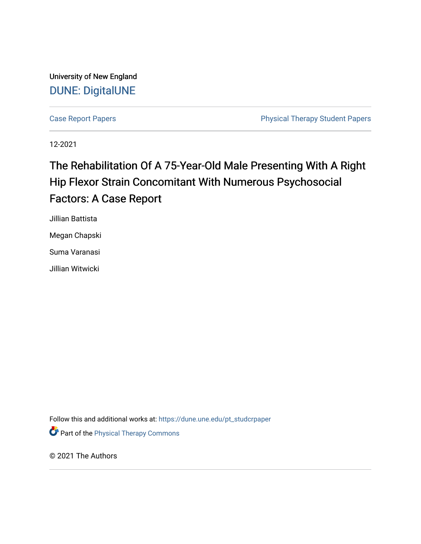University of New England [DUNE: DigitalUNE](https://dune.une.edu/) 

[Case Report Papers](https://dune.une.edu/pt_studcrpaper) **Physical Therapy Student Papers** Physical Therapy Student Papers

12-2021

# The Rehabilitation Of A 75-Year-Old Male Presenting With A Right Hip Flexor Strain Concomitant With Numerous Psychosocial Factors: A Case Report

Jillian Battista

Megan Chapski

Suma Varanasi

Jillian Witwicki

Follow this and additional works at: [https://dune.une.edu/pt\\_studcrpaper](https://dune.une.edu/pt_studcrpaper?utm_source=dune.une.edu%2Fpt_studcrpaper%2F130&utm_medium=PDF&utm_campaign=PDFCoverPages)

**Part of the [Physical Therapy Commons](http://network.bepress.com/hgg/discipline/754?utm_source=dune.une.edu%2Fpt_studcrpaper%2F130&utm_medium=PDF&utm_campaign=PDFCoverPages)** 

© 2021 The Authors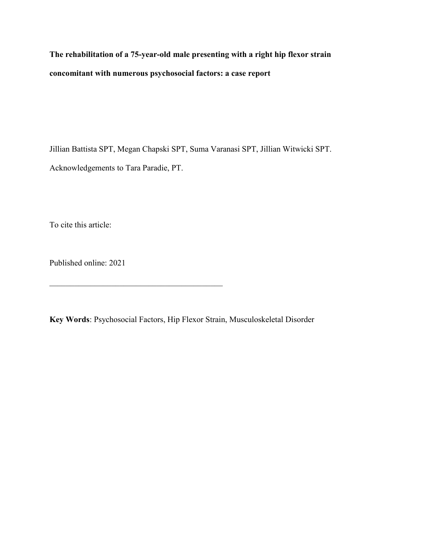**The rehabilitation of a 75-year-old male presenting with a right hip flexor strain concomitant with numerous psychosocial factors: a case report**

Jillian Battista SPT, Megan Chapski SPT, Suma Varanasi SPT, Jillian Witwicki SPT. Acknowledgements to Tara Paradie, PT.

To cite this article:

Published online: 2021

 $\mathcal{L}_\mathcal{L}$  , which is a set of the set of the set of the set of the set of the set of the set of the set of the set of the set of the set of the set of the set of the set of the set of the set of the set of the set of

**Key Words**: Psychosocial Factors, Hip Flexor Strain, Musculoskeletal Disorder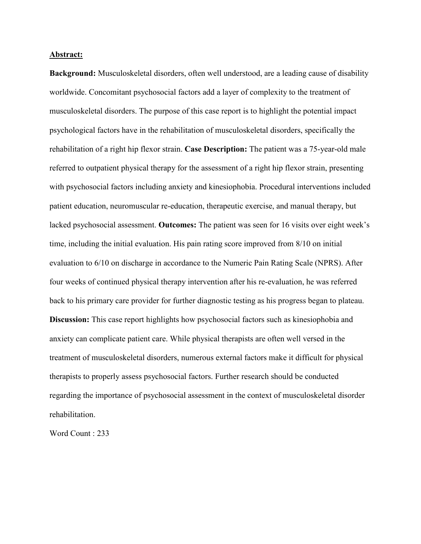#### **Abstract:**

**Background:** Musculoskeletal disorders, often well understood, are a leading cause of disability worldwide. Concomitant psychosocial factors add a layer of complexity to the treatment of musculoskeletal disorders. The purpose of this case report is to highlight the potential impact psychological factors have in the rehabilitation of musculoskeletal disorders, specifically the rehabilitation of a right hip flexor strain. **Case Description:** The patient was a 75-year-old male referred to outpatient physical therapy for the assessment of a right hip flexor strain, presenting with psychosocial factors including anxiety and kinesiophobia. Procedural interventions included patient education, neuromuscular re-education, therapeutic exercise, and manual therapy, but lacked psychosocial assessment. **Outcomes:** The patient was seen for 16 visits over eight week's time, including the initial evaluation. His pain rating score improved from 8/10 on initial evaluation to 6/10 on discharge in accordance to the Numeric Pain Rating Scale (NPRS). After four weeks of continued physical therapy intervention after his re-evaluation, he was referred back to his primary care provider for further diagnostic testing as his progress began to plateau. **Discussion:** This case report highlights how psychosocial factors such as kinesiophobia and anxiety can complicate patient care. While physical therapists are often well versed in the treatment of musculoskeletal disorders, numerous external factors make it difficult for physical therapists to properly assess psychosocial factors. Further research should be conducted regarding the importance of psychosocial assessment in the context of musculoskeletal disorder rehabilitation.

Word Count : 233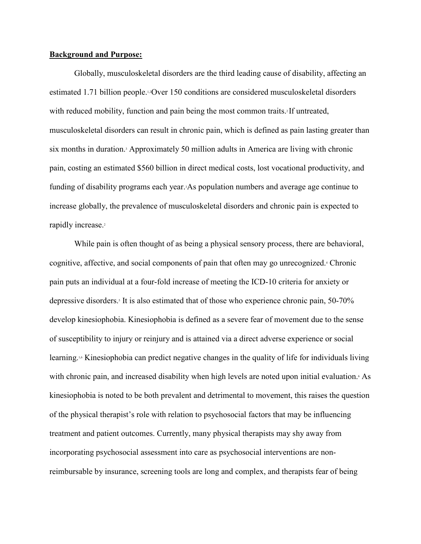#### **Background and Purpose:**

Globally, musculoskeletal disorders are the third leading cause of disability, affecting an estimated 1.71 billion people.1,2Over 150 conditions are considered musculoskeletal disorders with reduced mobility, function and pain being the most common traits.<sup>2</sup> If untreated, musculoskeletal disorders can result in chronic pain, which is defined as pain lasting greater than six months in duration.3 Approximately 50 million adults in America are living with chronic pain, costing an estimated \$560 billion in direct medical costs, lost vocational productivity, and funding of disability programs each year.<sup>3</sup>As population numbers and average age continue to increase globally, the prevalence of musculoskeletal disorders and chronic pain is expected to rapidly increase.<sup>2</sup>

 While pain is often thought of as being a physical sensory process, there are behavioral, cognitive, affective, and social components of pain that often may go unrecognized.4 Chronic pain puts an individual at a four-fold increase of meeting the ICD-10 criteria for anxiety or depressive disorders.<sup>5</sup> It is also estimated that of those who experience chronic pain, 50-70% develop kinesiophobia. Kinesiophobia is defined as a severe fear of movement due to the sense of susceptibility to injury or reinjury and is attained via a direct adverse experience or social learning.1,6 Kinesiophobia can predict negative changes in the quality of life for individuals living with chronic pain, and increased disability when high levels are noted upon initial evaluation. As kinesiophobia is noted to be both prevalent and detrimental to movement, this raises the question of the physical therapist's role with relation to psychosocial factors that may be influencing treatment and patient outcomes. Currently, many physical therapists may shy away from incorporating psychosocial assessment into care as psychosocial interventions are nonreimbursable by insurance, screening tools are long and complex, and therapists fear of being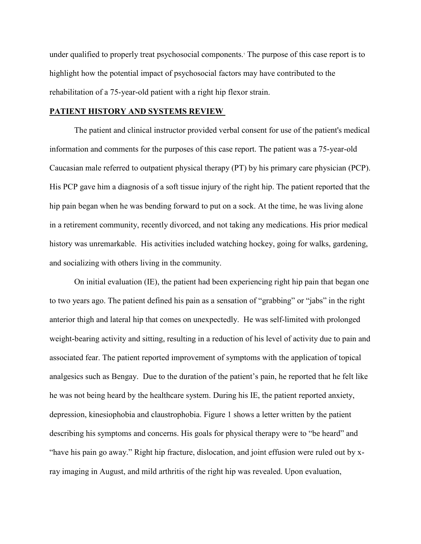under qualified to properly treat psychosocial components.7 The purpose of this case report is to highlight how the potential impact of psychosocial factors may have contributed to the rehabilitation of a 75-year-old patient with a right hip flexor strain.

#### **PATIENT HISTORY AND SYSTEMS REVIEW**

The patient and clinical instructor provided verbal consent for use of the patient's medical information and comments for the purposes of this case report. The patient was a 75-year-old Caucasian male referred to outpatient physical therapy (PT) by his primary care physician (PCP). His PCP gave him a diagnosis of a soft tissue injury of the right hip. The patient reported that the hip pain began when he was bending forward to put on a sock. At the time, he was living alone in a retirement community, recently divorced, and not taking any medications. His prior medical history was unremarkable. His activities included watching hockey, going for walks, gardening, and socializing with others living in the community.

On initial evaluation (IE), the patient had been experiencing right hip pain that began one to two years ago. The patient defined his pain as a sensation of "grabbing" or "jabs" in the right anterior thigh and lateral hip that comes on unexpectedly. He was self-limited with prolonged weight-bearing activity and sitting, resulting in a reduction of his level of activity due to pain and associated fear. The patient reported improvement of symptoms with the application of topical analgesics such as Bengay. Due to the duration of the patient's pain, he reported that he felt like he was not being heard by the healthcare system. During his IE, the patient reported anxiety, depression, kinesiophobia and claustrophobia. Figure 1 shows a letter written by the patient describing his symptoms and concerns. His goals for physical therapy were to "be heard" and "have his pain go away." Right hip fracture, dislocation, and joint effusion were ruled out by xray imaging in August, and mild arthritis of the right hip was revealed. Upon evaluation,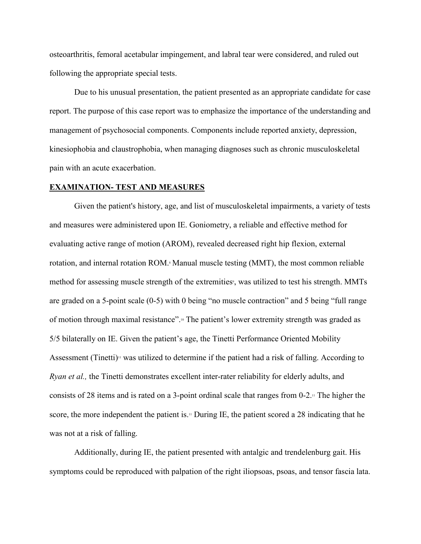osteoarthritis, femoral acetabular impingement, and labral tear were considered, and ruled out following the appropriate special tests.

Due to his unusual presentation, the patient presented as an appropriate candidate for case report. The purpose of this case report was to emphasize the importance of the understanding and management of psychosocial components. Components include reported anxiety, depression, kinesiophobia and claustrophobia, when managing diagnoses such as chronic musculoskeletal pain with an acute exacerbation.

#### **EXAMINATION- TEST AND MEASURES**

Given the patient's history, age, and list of musculoskeletal impairments, a variety of tests and measures were administered upon IE. Goniometry, a reliable and effective method for evaluating active range of motion (AROM), revealed decreased right hip flexion, external rotation, and internal rotation ROM.<sup>8</sup> Manual muscle testing (MMT), the most common reliable method for assessing muscle strength of the extremities<sup>9</sup>, was utilized to test his strength. MMTs are graded on a 5-point scale (0-5) with 0 being "no muscle contraction" and 5 being "full range of motion through maximal resistance".10 The patient's lower extremity strength was graded as 5/5 bilaterally on IE. Given the patient's age, the Tinetti Performance Oriented Mobility Assessment (Tinetti)<sup>11</sup> was utilized to determine if the patient had a risk of falling. According to *Ryan et al.,* the Tinetti demonstrates excellent inter-rater reliability for elderly adults, and consists of 28 items and is rated on a 3-point ordinal scale that ranges from  $0-2$ .<sup>11</sup> The higher the score, the more independent the patient is.<sup>11</sup> During IE, the patient scored a 28 indicating that he was not at a risk of falling.

Additionally, during IE, the patient presented with antalgic and trendelenburg gait. His symptoms could be reproduced with palpation of the right iliopsoas, psoas, and tensor fascia lata.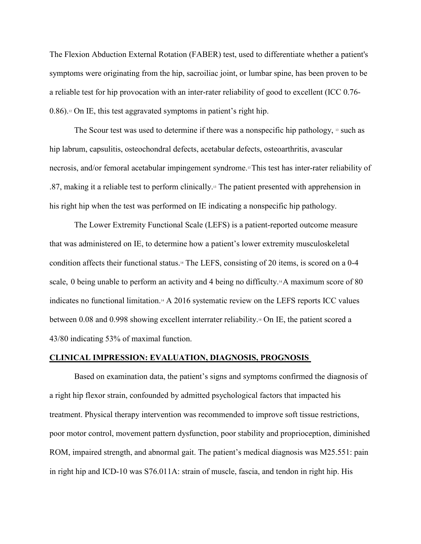The Flexion Abduction External Rotation (FABER) test, used to differentiate whether a patient's symptoms were originating from the hip, sacroiliac joint, or lumbar spine, has been proven to be a reliable test for hip provocation with an inter-rater reliability of good to excellent (ICC 0.76- 0.86).12 On IE, this test aggravated symptoms in patient's right hip.

The Scour test was used to determine if there was a nonspecific hip pathology,  $\beta$  such as hip labrum, capsulitis, osteochondral defects, acetabular defects, osteoarthritis, avascular necrosis, and/or femoral acetabular impingement syndrome.13 This test has inter-rater reliability of .87, making it a reliable test to perform clinically.13 The patient presented with apprehension in his right hip when the test was performed on IE indicating a nonspecific hip pathology.

The Lower Extremity Functional Scale (LEFS) is a patient-reported outcome measure that was administered on IE, to determine how a patient's lower extremity musculoskeletal condition affects their functional status.14 The LEFS, consisting of 20 items, is scored on a 0-4 scale, 0 being unable to perform an activity and 4 being no difficulty.<sup>14</sup> A maximum score of 80 indicates no functional limitation.<sup>14</sup> A 2016 systematic review on the LEFS reports ICC values between 0.08 and 0.998 showing excellent interrater reliability.<sup>14</sup> On IE, the patient scored a 43/80 indicating 53% of maximal function.

#### **CLINICAL IMPRESSION: EVALUATION, DIAGNOSIS, PROGNOSIS**

Based on examination data, the patient's signs and symptoms confirmed the diagnosis of a right hip flexor strain, confounded by admitted psychological factors that impacted his treatment. Physical therapy intervention was recommended to improve soft tissue restrictions, poor motor control, movement pattern dysfunction, poor stability and proprioception, diminished ROM, impaired strength, and abnormal gait. The patient's medical diagnosis was M25.551: pain in right hip and ICD-10 was S76.011A: strain of muscle, fascia, and tendon in right hip. His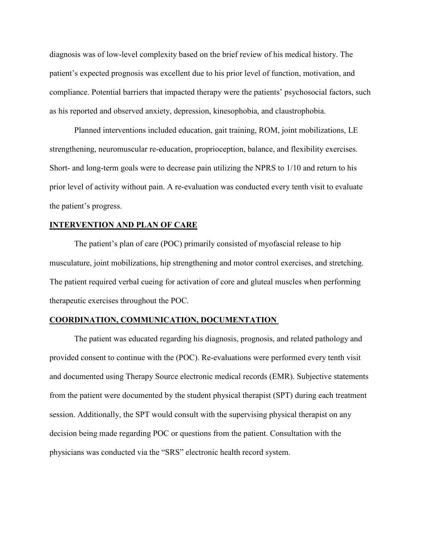diagnosis was of low-level complexity based on the brief review of his medical history. The patient's expected prognosis was excellent due to his prior level of function, motivation, and compliance. Potential barriers that impacted therapy were the patients' psychosocial factors, such as his reported and observed anxiety, depression, kinesophobia, and claustrophobia.

Planned interventions included education, gait training, ROM, joint mobilizations, LE strengthening, neuromuscular re-education, proprioception, balance, and flexibility exercises. Short- and long-term goals were to decrease pain utilizing the NPRS to 1/10 and return to his prior level of activity without pain. A re-evaluation was conducted every tenth visit to evaluate the patient's progress.

# **INTERVENTION AND PLAN OF CARE**

The patient's plan of care (POC) primarily consisted of myofascial release to hip musculature, joint mobilizations, hip strengthening and motor control exercises, and stretching. The patient required verbal cueing for activation of core and gluteal muscles when performing therapeutic exercises throughout the POC.

#### **COORDINATION, COMMUNICATION, DOCUMENTATION**

The patient was educated regarding his diagnosis, prognosis, and related pathology and provided consent to continue with the (POC). Re-evaluations were performed every tenth visit and documented using Therapy Source electronic medical records (EMR). Subjective statements from the patient were documented by the student physical therapist (SPT) during each treatment session. Additionally, the SPT would consult with the supervising physical therapist on any decision being made regarding POC or questions from the patient. Consultation with the physicians was conducted via the "SRS" electronic health record system.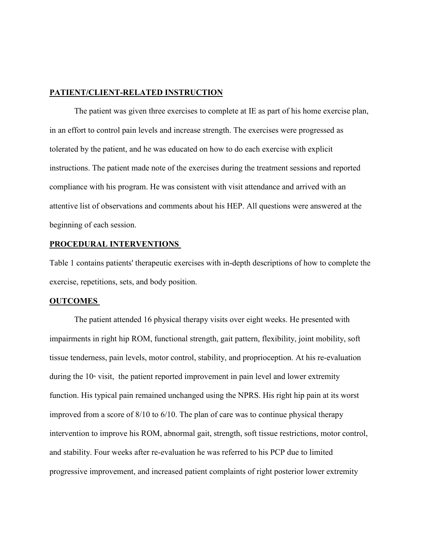#### **PATIENT/CLIENT-RELATED INSTRUCTION**

The patient was given three exercises to complete at IE as part of his home exercise plan, in an effort to control pain levels and increase strength. The exercises were progressed as tolerated by the patient, and he was educated on how to do each exercise with explicit instructions. The patient made note of the exercises during the treatment sessions and reported compliance with his program. He was consistent with visit attendance and arrived with an attentive list of observations and comments about his HEP. All questions were answered at the beginning of each session.

## **PROCEDURAL INTERVENTIONS**

Table 1 contains patients' therapeutic exercises with in-depth descriptions of how to complete the exercise, repetitions, sets, and body position.

## **OUTCOMES**

The patient attended 16 physical therapy visits over eight weeks. He presented with impairments in right hip ROM, functional strength, gait pattern, flexibility, joint mobility, soft tissue tenderness, pain levels, motor control, stability, and proprioception. At his re-evaluation during the  $10<sup>th</sup>$  visit, the patient reported improvement in pain level and lower extremity function. His typical pain remained unchanged using the NPRS. His right hip pain at its worst improved from a score of 8/10 to 6/10. The plan of care was to continue physical therapy intervention to improve his ROM, abnormal gait, strength, soft tissue restrictions, motor control, and stability. Four weeks after re-evaluation he was referred to his PCP due to limited progressive improvement, and increased patient complaints of right posterior lower extremity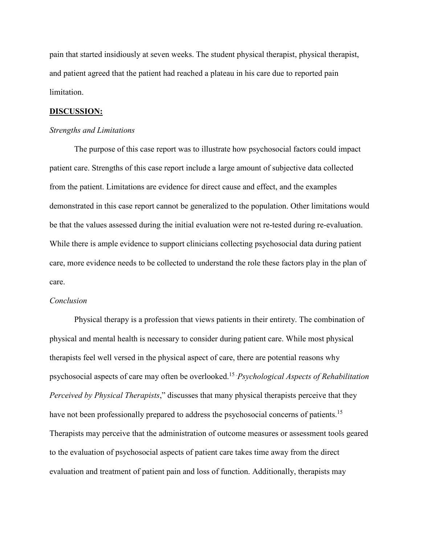pain that started insidiously at seven weeks. The student physical therapist, physical therapist, and patient agreed that the patient had reached a plateau in his care due to reported pain limitation.

#### **DISCUSSION:**

#### *Strengths and Limitations*

The purpose of this case report was to illustrate how psychosocial factors could impact patient care. Strengths of this case report include a large amount of subjective data collected from the patient. Limitations are evidence for direct cause and effect, and the examples demonstrated in this case report cannot be generalized to the population. Other limitations would be that the values assessed during the initial evaluation were not re-tested during re-evaluation. While there is ample evidence to support clinicians collecting psychosocial data during patient care, more evidence needs to be collected to understand the role these factors play in the plan of care.

#### *Conclusion*

Physical therapy is a profession that views patients in their entirety. The combination of physical and mental health is necessary to consider during patient care. While most physical therapists feel well versed in the physical aspect of care, there are potential reasons why psychosocial aspects of care may often be overlooked.15 " *Psychological Aspects of Rehabilitation Perceived by Physical Therapists*," discusses that many physical therapists perceive that they have not been professionally prepared to address the psychosocial concerns of patients.<sup>15</sup> Therapists may perceive that the administration of outcome measures or assessment tools geared to the evaluation of psychosocial aspects of patient care takes time away from the direct evaluation and treatment of patient pain and loss of function. Additionally, therapists may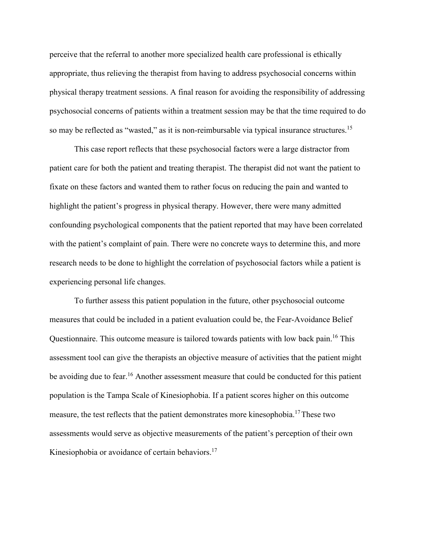perceive that the referral to another more specialized health care professional is ethically appropriate, thus relieving the therapist from having to address psychosocial concerns within physical therapy treatment sessions. A final reason for avoiding the responsibility of addressing psychosocial concerns of patients within a treatment session may be that the time required to do so may be reflected as "wasted," as it is non-reimbursable via typical insurance structures.<sup>15</sup>

This case report reflects that these psychosocial factors were a large distractor from patient care for both the patient and treating therapist. The therapist did not want the patient to fixate on these factors and wanted them to rather focus on reducing the pain and wanted to highlight the patient's progress in physical therapy. However, there were many admitted confounding psychological components that the patient reported that may have been correlated with the patient's complaint of pain. There were no concrete ways to determine this, and more research needs to be done to highlight the correlation of psychosocial factors while a patient is experiencing personal life changes.

To further assess this patient population in the future, other psychosocial outcome measures that could be included in a patient evaluation could be, the Fear-Avoidance Belief Questionnaire. This outcome measure is tailored towards patients with low back pain.<sup>16</sup> This assessment tool can give the therapists an objective measure of activities that the patient might be avoiding due to fear.<sup>16</sup> Another assessment measure that could be conducted for this patient population is the Tampa Scale of Kinesiophobia. If a patient scores higher on this outcome measure, the test reflects that the patient demonstrates more kinesophobia.<sup>17</sup>These two assessments would serve as objective measurements of the patient's perception of their own Kinesiophobia or avoidance of certain behaviors.<sup>17</sup>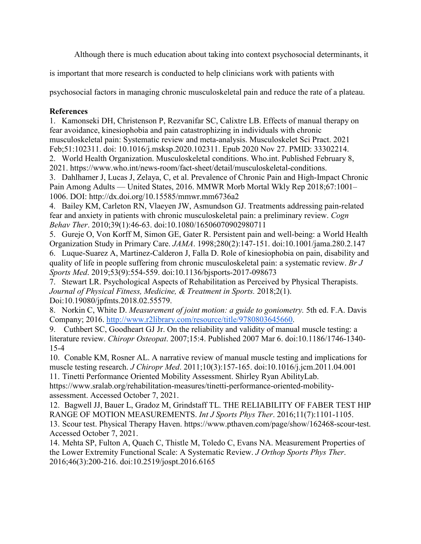Although there is much education about taking into context psychosocial determinants, it

is important that more research is conducted to help clinicians work with patients with

psychosocial factors in managing chronic musculoskeletal pain and reduce the rate of a plateau.

# **References**

1. Kamonseki DH, Christenson P, Rezvanifar SC, Calixtre LB. Effects of manual therapy on fear avoidance, kinesiophobia and pain catastrophizing in individuals with chronic musculoskeletal pain: Systematic review and meta-analysis. Musculoskelet Sci Pract. 2021 Feb;51:102311. doi: 10.1016/j.msksp.2020.102311. Epub 2020 Nov 27. PMID: 33302214. 2. World Health Organization. Musculoskeletal conditions. Who.int. Published February 8, 2021. https://www.who.int/news-room/fact-sheet/detail/musculoskeletal-conditions.

3. Dahlhamer J, Lucas J, Zelaya, C, et al. Prevalence of Chronic Pain and High-Impact Chronic Pain Among Adults — United States, 2016. MMWR Morb Mortal Wkly Rep 2018;67:1001– 1006. DOI: http://dx.doi.org/10.15585/mmwr.mm6736a2

4. Bailey KM, Carleton RN, Vlaeyen JW, Asmundson GJ. Treatments addressing pain-related fear and anxiety in patients with chronic musculoskeletal pain: a preliminary review. *Cogn Behav Ther*. 2010;39(1):46-63. doi:10.1080/16506070902980711

5. Gureje O, Von Korff M, Simon GE, Gater R. Persistent pain and well-being: a World Health Organization Study in Primary Care. *JAMA*. 1998;280(2):147-151. doi:10.1001/jama.280.2.147

6. Luque-Suarez A, Martinez-Calderon J, Falla D. Role of kinesiophobia on pain, disability and quality of life in people suffering from chronic musculoskeletal pain: a systematic review. *Br J Sports Med*. 2019;53(9):554-559. doi:10.1136/bjsports-2017-098673

7. Stewart LR. Psychological Aspects of Rehabilitation as Perceived by Physical Therapists. *Journal of Physical Fitness, Medicine, & Treatment in Sports.* 2018;2(1). Doi:10.19080/jpfmts.2018.02.55579.

8. Norkin C, White D. *Measurement of joint motion: a guide to goniometry.* 5th ed. F.A. Davis Company; 2016. [http://www.r2library.com/resource/title/9780803645660.](http://www.r2library.com/resource/title/9780803645660)

9. Cuthbert SC, Goodheart GJ Jr. On the reliability and validity of manual muscle testing: a literature review. *Chiropr Osteopat*. 2007;15:4. Published 2007 Mar 6. doi:10.1186/1746-1340- 15-4

10. Conable KM, Rosner AL. A narrative review of manual muscle testing and implications for muscle testing research. *J Chiropr Med*. 2011;10(3):157-165. doi:10.1016/j.jcm.2011.04.001

11. Tinetti Performance Oriented Mobility Assessment. Shirley Ryan AbilityLab. https://www.sralab.org/rehabilitation-measures/tinetti-performance-oriented-mobilityassessment. Accessed October 7, 2021.

12. Bagwell JJ, Bauer L, Gradoz M, Grindstaff TL. THE RELIABILITY OF FABER TEST HIP RANGE OF MOTION MEASUREMENTS. *Int J Sports Phys Ther*. 2016;11(7):1101-1105. 13. Scour test. Physical Therapy Haven. https://www.pthaven.com/page/show/162468-scour-test. Accessed October 7, 2021.

14. Mehta SP, Fulton A, Quach C, Thistle M, Toledo C, Evans NA. Measurement Properties of the Lower Extremity Functional Scale: A Systematic Review. *J Orthop Sports Phys Ther*. 2016;46(3):200-216. doi:10.2519/jospt.2016.6165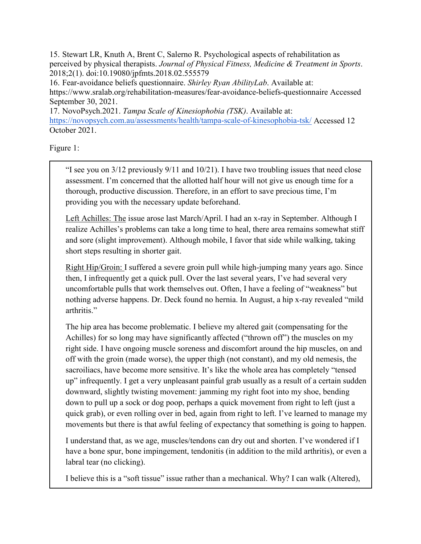15. Stewart LR, Knuth A, Brent C, Salerno R. Psychological aspects of rehabilitation as perceived by physical therapists. *Journal of Physical Fitness, Medicine & Treatment in Sports*. 2018;2(1). doi:10.19080/jpfmts.2018.02.555579

16. Fear-avoidance beliefs questionnaire. *Shirley Ryan AbilityLab*. Available at: https://www.sralab.org/rehabilitation-measures/fear-avoidance-beliefs-questionnaire Accessed September 30, 2021.

17. NovoPsych.2021. *Tampa Scale of Kinesiophobia (TSK)*. Available at: <https://novopsych.com.au/assessments/health/tampa-scale-of-kinesophobia-tsk/> Accessed 12 October 2021.

Figure 1:

"I see you on 3/12 previously 9/11 and 10/21). I have two troubling issues that need close assessment. I'm concerned that the allotted half hour will not give us enough time for a thorough, productive discussion. Therefore, in an effort to save precious time, I'm providing you with the necessary update beforehand.

Left Achilles: The issue arose last March/April. I had an x-ray in September. Although I realize Achilles's problems can take a long time to heal, there area remains somewhat stiff and sore (slight improvement). Although mobile, I favor that side while walking, taking short steps resulting in shorter gait.

Right Hip/Groin: I suffered a severe groin pull while high-jumping many years ago. Since then, I infrequently get a quick pull. Over the last several years, I've had several very uncomfortable pulls that work themselves out. Often, I have a feeling of "weakness" but nothing adverse happens. Dr. Deck found no hernia. In August, a hip x-ray revealed "mild arthritis."

The hip area has become problematic. I believe my altered gait (compensating for the Achilles) for so long may have significantly affected ("thrown off") the muscles on my right side. I have ongoing muscle soreness and discomfort around the hip muscles, on and off with the groin (made worse), the upper thigh (not constant), and my old nemesis, the sacroiliacs, have become more sensitive. It's like the whole area has completely "tensed up" infrequently. I get a very unpleasant painful grab usually as a result of a certain sudden downward, slightly twisting movement: jamming my right foot into my shoe, bending down to pull up a sock or dog poop, perhaps a quick movement from right to left (just a quick grab), or even rolling over in bed, again from right to left. I've learned to manage my movements but there is that awful feeling of expectancy that something is going to happen.

I understand that, as we age, muscles/tendons can dry out and shorten. I've wondered if I have a bone spur, bone impingement, tendonitis (in addition to the mild arthritis), or even a labral tear (no clicking).

I believe this is a "soft tissue" issue rather than a mechanical. Why? I can walk (Altered),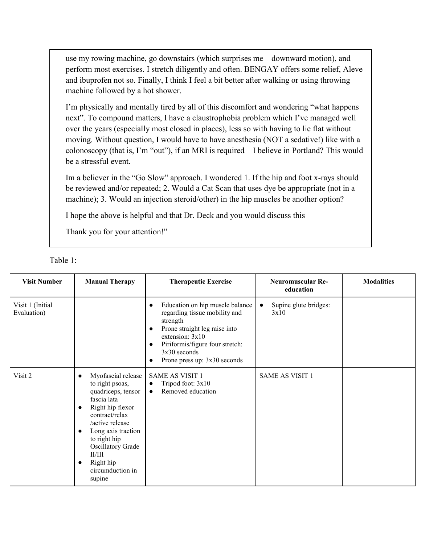use my rowing machine, go downstairs (which surprises me—downward motion), and perform most exercises. I stretch diligently and often. BENGAY offers some relief, Aleve and ibuprofen not so. Finally, I think I feel a bit better after walking or using throwing machine followed by a hot shower.

I'm physically and mentally tired by all of this discomfort and wondering "what happens next". To compound matters, I have a claustrophobia problem which I've managed well over the years (especially most closed in places), less so with having to lie flat without moving. Without question, I would have to have anesthesia (NOT a sedative!) like with a colonoscopy (that is, I'm "out"), if an MRI is required – I believe in Portland? This would be a stressful event.

Im a believer in the "Go Slow" approach. I wondered 1. If the hip and foot x-rays should be reviewed and/or repeated; 2. Would a Cat Scan that uses dye be appropriate (not in a machine); 3. Would an injection steroid/other) in the hip muscles be another option?

I hope the above is helpful and that Dr. Deck and you would discuss this

Thank you for your attention!"

| <b>Visit Number</b>             | <b>Manual Therapy</b>                                                                                                                                                                                                                                                                                          | <b>Therapeutic Exercise</b>                                                                                                                                                                                                                                         | <b>Neuromuscular Re-</b><br>education      | <b>Modalities</b> |
|---------------------------------|----------------------------------------------------------------------------------------------------------------------------------------------------------------------------------------------------------------------------------------------------------------------------------------------------------------|---------------------------------------------------------------------------------------------------------------------------------------------------------------------------------------------------------------------------------------------------------------------|--------------------------------------------|-------------------|
| Visit 1 (Initial<br>Evaluation) |                                                                                                                                                                                                                                                                                                                | Education on hip muscle balance<br>$\bullet$<br>regarding tissue mobility and<br>strength<br>Prone straight leg raise into<br>$\bullet$<br>extension: $3x10$<br>Piriformis/figure four stretch:<br>$\bullet$<br>$3x30$ seconds<br>Prone press up: 3x30 seconds<br>c | Supine glute bridges:<br>$\bullet$<br>3x10 |                   |
| Visit 2                         | Myofascial release<br>$\bullet$<br>to right psoas,<br>quadriceps, tensor<br>fascia lata<br>Right hip flexor<br>$\bullet$<br>contract/relax<br>/active release<br>Long axis traction<br>$\bullet$<br>to right hip<br><b>Oscillatory Grade</b><br>II/III<br>Right hip<br>$\bullet$<br>circumduction in<br>supine | <b>SAME AS VISIT 1</b><br>Tripod foot: 3x10<br>$\bullet$<br>Removed education<br>$\bullet$                                                                                                                                                                          | <b>SAME AS VISIT 1</b>                     |                   |

| anie |  |
|------|--|
|      |  |
|      |  |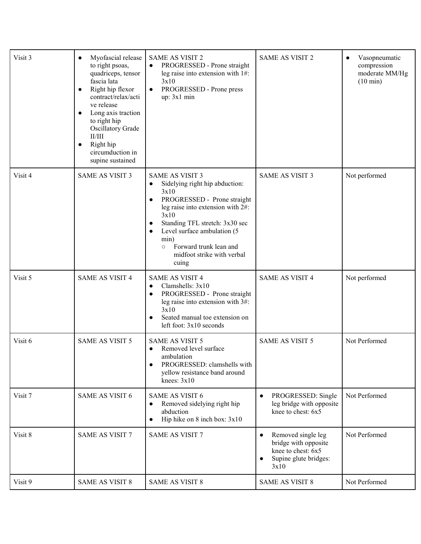| Visit 3 | Myofascial release<br>$\bullet$<br>to right psoas,<br>quadriceps, tensor<br>fascia lata<br>Right hip flexor<br>$\bullet$<br>contract/relax/acti<br>ve release<br>Long axis traction<br>$\bullet$<br>to right hip<br>Oscillatory Grade<br>II/III<br>Right hip<br>$\bullet$<br>circumduction in<br>supine sustained | <b>SAME AS VISIT 2</b><br>PROGRESSED - Prone straight<br>$\bullet$<br>leg raise into extension with 1#:<br>3x10<br>PROGRESSED - Prone press<br>$\bullet$<br>up: 3x1 min                                                                                                                                                     | <b>SAME AS VISIT 2</b>                                                                                                      | Vasopneumatic<br>$\bullet$<br>compression<br>moderate MM/Hg<br>$(10 \text{ min})$ |
|---------|-------------------------------------------------------------------------------------------------------------------------------------------------------------------------------------------------------------------------------------------------------------------------------------------------------------------|-----------------------------------------------------------------------------------------------------------------------------------------------------------------------------------------------------------------------------------------------------------------------------------------------------------------------------|-----------------------------------------------------------------------------------------------------------------------------|-----------------------------------------------------------------------------------|
| Visit 4 | <b>SAME AS VISIT 3</b>                                                                                                                                                                                                                                                                                            | <b>SAME AS VISIT 3</b><br>Sidelying right hip abduction:<br>$\bullet$<br>3x10<br>PROGRESSED - Prone straight<br>$\bullet$<br>leg raise into extension with 2#:<br>3x10<br>Standing TFL stretch: 3x30 sec<br>Level surface ambulation (5<br>min)<br>Forward trunk lean and<br>$\circ$<br>midfoot strike with verbal<br>cuing | <b>SAME AS VISIT 3</b>                                                                                                      | Not performed                                                                     |
| Visit 5 | <b>SAME AS VISIT 4</b>                                                                                                                                                                                                                                                                                            | <b>SAME AS VISIT 4</b><br>Clamshells: 3x10<br>$\bullet$<br>PROGRESSED - Prone straight<br>leg raise into extension with 3#:<br>3x10<br>Seated manual toe extension on<br>left foot: 3x10 seconds                                                                                                                            | <b>SAME AS VISIT 4</b>                                                                                                      | Not performed                                                                     |
| Visit 6 | <b>SAME AS VISIT 5</b>                                                                                                                                                                                                                                                                                            | <b>SAME AS VISIT 5</b><br>Removed level surface<br>$\bullet$<br>ambulation<br>PROGRESSED: clamshells with<br>yellow resistance band around<br>knees: $3x10$                                                                                                                                                                 | <b>SAME AS VISIT 5</b>                                                                                                      | Not Performed                                                                     |
| Visit 7 | <b>SAME AS VISIT 6</b>                                                                                                                                                                                                                                                                                            | <b>SAME AS VISIT 6</b><br>Removed sidelying right hip<br>abduction<br>Hip hike on 8 inch box: 3x10                                                                                                                                                                                                                          | PROGRESSED: Single<br>$\bullet$<br>leg bridge with opposite<br>knee to chest: 6x5                                           | Not Performed                                                                     |
| Visit 8 | <b>SAME AS VISIT 7</b>                                                                                                                                                                                                                                                                                            | <b>SAME AS VISIT 7</b>                                                                                                                                                                                                                                                                                                      | Removed single leg<br>$\bullet$<br>bridge with opposite<br>knee to chest: 6x5<br>Supine glute bridges:<br>$\bullet$<br>3x10 | Not Performed                                                                     |
| Visit 9 | <b>SAME AS VISIT 8</b>                                                                                                                                                                                                                                                                                            | <b>SAME AS VISIT 8</b>                                                                                                                                                                                                                                                                                                      | <b>SAME AS VISIT 8</b>                                                                                                      | Not Performed                                                                     |